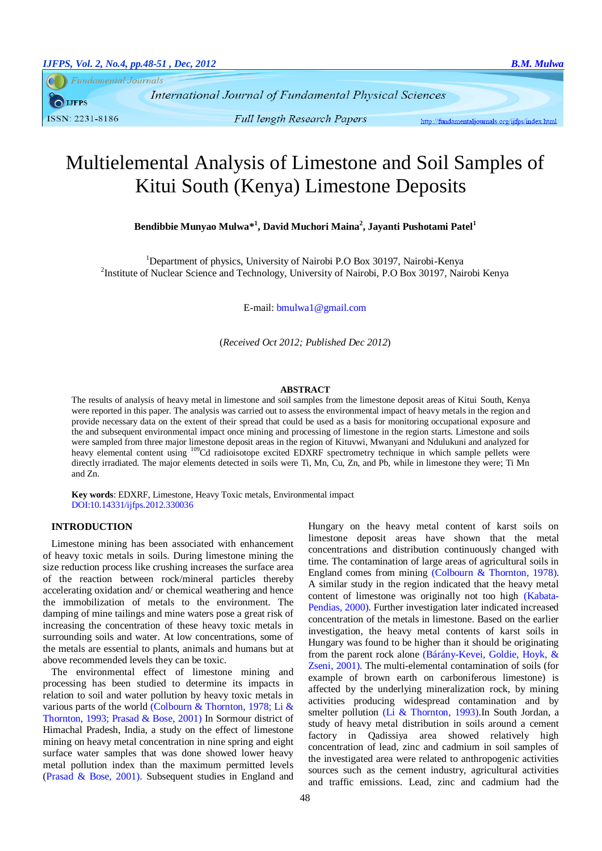**Fundamental Journals IJFPS** ISSN: 2231-8186

**Full length Research Papers** 

http://fundamentaliournals.org/iifps/index.html

# Multielemental Analysis of Limestone and Soil Samples of Kitui South (Kenya) Limestone Deposits

**Bendibbie Munyao Mulwa\* 1 , David Muchori Maina<sup>2</sup> , Jayanti Pushotami Patel<sup>1</sup>**

<sup>1</sup>Department of physics, University of Nairobi P.O Box 30197, Nairobi-Kenya <sup>2</sup>Institute of Nuclear Science and Technology, University of Nairobi, P.O Box 30197, Nairobi Kenya

E-mail[: bmulwa1@gmail.com](mailto:bmulwa1@gmail.com)

(*Received Oct 2012; Published Dec 2012*)

#### **ABSTRACT**

The results of analysis of heavy metal in limestone and soil samples from the limestone deposit areas of Kitui South, Kenya were reported in this paper. The analysis was carried out to assess the environmental impact of heavy metals in the region and provide necessary data on the extent of their spread that could be used as a basis for monitoring occupational exposure and the and subsequent environmental impact once mining and processing of limestone in the region starts. Limestone and soils were sampled from three major limestone deposit areas in the region of Kituvwi, Mwanyani and Ndulukuni and analyzed for heavy elemental content using <sup>109</sup>Cd radioisotope excited EDXRF spectrometry technique in which sample pellets were directly irradiated. The major elements detected in soils were Ti, Mn, Cu, Zn, and Pb, while in limestone they were; Ti Mn and Zn.

**Key words**: EDXRF, Limestone, Heavy Toxic metals, Environmental impact DOI:10.14331/ijfps.2012.330036

### **INTRODUCTION**

Limestone mining has been associated with enhancement of heavy toxic metals in soils. During limestone mining the size reduction process like crushing increases the surface area of the reaction between rock/mineral particles thereby accelerating oxidation and/ or chemical weathering and hence the immobilization of metals to the environment. The damping of mine tailings and mine waters pose a great risk of increasing the concentration of these heavy toxic metals in surrounding soils and water. At low concentrations, some of the metals are essential to plants, animals and humans but at above recommended levels they can be toxic.

The environmental effect of limestone mining and processing has been studied to determine its impacts in relation to soil and water pollution by heavy toxic metals in various parts of the world [\(Colbourn & Thornton, 1978;](#page-3-0) [Li &](#page-3-1)  [Thornton, 1993;](#page-3-1) [Prasad & Bose, 2001\)](#page-3-2) In Sormour district of Himachal Pradesh, India, a study on the effect of limestone mining on heavy metal concentration in nine spring and eight surface water samples that was done showed lower heavy metal pollution index than the maximum permitted levels [\(Prasad & Bose, 2001\)](#page-3-3). Subsequent studies in England and Hungary on the heavy metal content of karst soils on limestone deposit areas have shown that the metal concentrations and distribution continuously changed with time. The contamination of large areas of agricultural soils in England comes from mining [\(Colbourn & Thornton, 1978\)](#page-3-0). A similar study in the region indicated that the heavy metal content of limestone was originally not too high [\(Kabata-](#page-3-4)[Pendias, 2000\)](#page-3-4). Further investigation later indicated increased concentration of the metals in limestone. Based on the earlier investigation, the heavy metal contents of karst soils in Hungary was found to be higher than it should be originating from the parent rock alone [\(Bárány-Kevei, Goldie, Hoyk, &](#page-3-5)  [Zseni, 2001\)](#page-3-5). The multi-elemental contamination of soils (for example of brown earth on carboniferous limestone) is affected by the underlying mineralization rock, by mining activities producing widespread contamination and by smelter pollution [\(Li & Thornton, 1993\)](#page-3-1). In South Jordan, a study of heavy metal distribution in soils around a cement factory in Qadissiya area showed relatively high concentration of lead, zinc and cadmium in soil samples of the investigated area were related to anthropogenic activities sources such as the cement industry, agricultural activities and traffic emissions. Lead, zinc and cadmium had the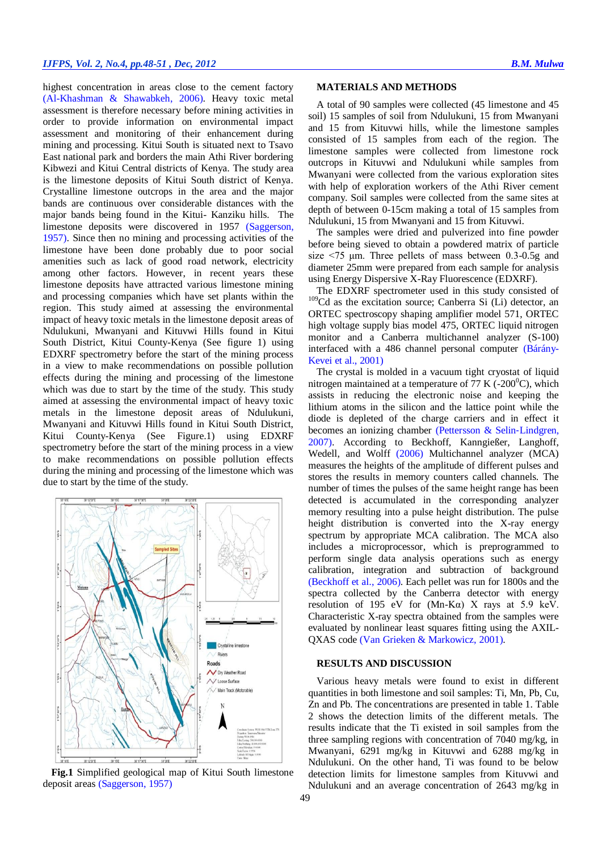highest concentration in areas close to the cement factory [\(Al-Khashman & Shawabkeh, 2006\)](#page-3-6). Heavy toxic metal assessment is therefore necessary before mining activities in order to provide information on environmental impact assessment and monitoring of their enhancement during mining and processing. Kitui South is situated next to Tsavo East national park and borders the main Athi River bordering Kibwezi and Kitui Central districts of Kenya. The study area is the limestone deposits of Kitui South district of Kenya. Crystalline limestone outcrops in the area and the major bands are continuous over considerable distances with the major bands being found in the Kitui- Kanziku hills. The limestone deposits were discovered in 1957 [\(Saggerson,](#page-3-7)  [1957\)](#page-3-7). Since then no mining and processing activities of the limestone have been done probably due to poor social amenities such as lack of good road network, electricity among other factors. However, in recent years these limestone deposits have attracted various limestone mining and processing companies which have set plants within the region. This study aimed at assessing the environmental impact of heavy toxic metals in the limestone deposit areas of Ndulukuni, Mwanyani and Kituvwi Hills found in Kitui South District, Kitui County-Kenya (See figure 1) using EDXRF spectrometry before the start of the mining process in a view to make recommendations on possible pollution effects during the mining and processing of the limestone which was due to start by the time of the study. This study aimed at assessing the environmental impact of heavy toxic metals in the limestone deposit areas of Ndulukuni, Mwanyani and Kituvwi Hills found in Kitui South District, Kitui County-Kenya (See Figure.1) using EDXRF spectrometry before the start of the mining process in a view to make recommendations on possible pollution effects during the mining and processing of the limestone which was due to start by the time of the study.



**Fig.1** Simplified geological map of Kitui South limestone deposit areas [\(Saggerson, 1957\)](#page-3-7)

#### **MATERIALS AND METHODS**

A total of 90 samples were collected (45 limestone and 45 soil) 15 samples of soil from Ndulukuni, 15 from Mwanyani and 15 from Kituvwi hills, while the limestone samples consisted of 15 samples from each of the region. The limestone samples were collected from limestone rock outcrops in Kituvwi and Ndulukuni while samples from Mwanyani were collected from the various exploration sites with help of exploration workers of the Athi River cement company. Soil samples were collected from the same sites at depth of between 0-15cm making a total of 15 samples from Ndulukuni, 15 from Mwanyani and 15 from Kituvwi.

The samples were dried and pulverized into fine powder before being sieved to obtain a powdered matrix of particle size  $\leq$ 75  $\mu$ m. Three pellets of mass between 0.3-0.5g and diameter 25mm were prepared from each sample for analysis using Energy Dispersive X-Ray Fluorescence (EDXRF).

The EDXRF spectrometer used in this study consisted of <sup>109</sup>Cd as the excitation source; Canberra Si (Li) detector, an ORTEC spectroscopy shaping amplifier model 571, ORTEC high voltage supply bias model 475, ORTEC liquid nitrogen monitor and a Canberra multichannel analyzer (S-100) interfaced with a 486 channel personal computer [\(Bárány-](#page-3-5)[Kevei et al., 2001\)](#page-3-5)

The crystal is molded in a vacuum tight cryostat of liquid nitrogen maintained at a temperature of 77 K (-200 $^{\circ}$ C), which assists in reducing the electronic noise and keeping the lithium atoms in the silicon and the lattice point while the diode is depleted of the charge carriers and in effect it becomes an ionizing chamber [\(Pettersson & Selin](#page-3-8)‐Lindgren, [2007\)](#page-3-8). According to [Beckhoff, Kanngießer, Langhoff,](#page-3-3)  [Wedell, and Wolff](#page-3-3) (2006) Multichannel analyzer (MCA) measures the heights of the amplitude of different pulses and stores the results in memory counters called channels. The number of times the pulses of the same height range has been detected is accumulated in the corresponding analyzer memory resulting into a pulse height distribution. The pulse height distribution is converted into the X-ray energy spectrum by appropriate MCA calibration. The MCA also includes a microprocessor, which is preprogrammed to perform single data analysis operations such as energy calibration, integration and subtraction of background [\(Beckhoff et al., 2006\)](#page-3-3). Each pellet was run for 1800s and the spectra collected by the Canberra detector with energy resolution of 195 eV for  $(Mn-K\alpha)$  X rays at 5.9 keV. Characteristic X-ray spectra obtained from the samples were evaluated by nonlinear least squares fitting using the AXIL-QXAS code [\(Van Grieken & Markowicz, 2001\)](#page-3-9).

#### **RESULTS AND DISCUSSION**

Various heavy metals were found to exist in different quantities in both limestone and soil samples: Ti, Mn, Pb, Cu, Zn and Pb. The concentrations are presented in table 1. Table 2 shows the detection limits of the different metals. The results indicate that the Ti existed in soil samples from the three sampling regions with concentration of 7040 mg/kg, in Mwanyani, 6291 mg/kg in Kituvwi and 6288 mg/kg in Ndulukuni. On the other hand, Ti was found to be below detection limits for limestone samples from Kituvwi and Ndulukuni and an average concentration of 2643 mg/kg in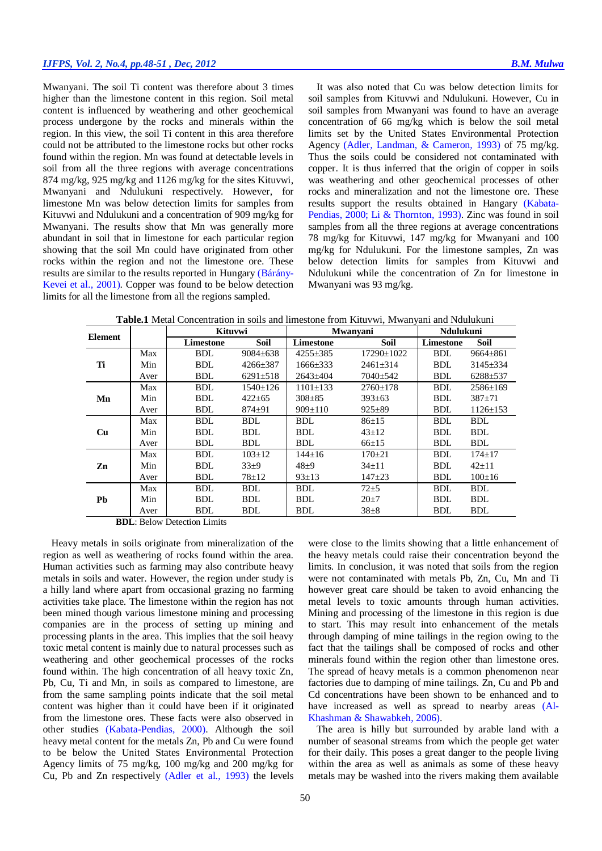# *IJFPS, Vol. 2, No.4, pp.48-51 , Dec, 2012 B.M. Mulwa*

Mwanyani. The soil Ti content was therefore about 3 times higher than the limestone content in this region. Soil metal content is influenced by weathering and other geochemical process undergone by the rocks and minerals within the region. In this view, the soil Ti content in this area therefore could not be attributed to the limestone rocks but other rocks found within the region. Mn was found at detectable levels in soil from all the three regions with average concentrations 874 mg/kg, 925 mg/kg and 1126 mg/kg for the sites Kituvwi, Mwanyani and Ndulukuni respectively. However, for limestone Mn was below detection limits for samples from Kituvwi and Ndulukuni and a concentration of 909 mg/kg for Mwanyani. The results show that Mn was generally more abundant in soil that in limestone for each particular region showing that the soil Mn could have originated from other rocks within the region and not the limestone ore. These results are similar to the results reported in Hungary [\(Bárány-](#page-3-5)[Kevei et al., 2001\)](#page-3-5). Copper was found to be below detection limits for all the limestone from all the regions sampled.

It was also noted that Cu was below detection limits for soil samples from Kituvwi and Ndulukuni. However, Cu in soil samples from Mwanyani was found to have an average concentration of 66 mg/kg which is below the soil metal limits set by the United States Environmental Protection Agency [\(Adler, Landman, & Cameron, 1993\)](#page-3-10) of 75 mg/kg. Thus the soils could be considered not contaminated with copper. It is thus inferred that the origin of copper in soils was weathering and other geochemical processes of other rocks and mineralization and not the limestone ore. These results support the results obtained in Hangary [\(Kabata-](#page-3-4)[Pendias, 2000;](#page-3-4) [Li & Thornton, 1993\)](#page-3-1). Zinc was found in soil samples from all the three regions at average concentrations 78 mg/kg for Kituvwi, 147 mg/kg for Mwanyani and 100 mg/kg for Ndulukuni. For the limestone samples, Zn was below detection limits for samples from Kituvwi and Ndulukuni while the concentration of Zn for limestone in Mwanyani was 93 mg/kg.

**Table.1** Metal Concentration in soils and limestone from Kituvwi, Mwanyani and Ndulukuni

| <b>Element</b> |      | <b>Kituvwi</b> |                | <b>Mwanyani</b> |                  | Ndulukuni  |                |
|----------------|------|----------------|----------------|-----------------|------------------|------------|----------------|
|                |      | Limestone      | <b>Soil</b>    | Limestone       | Soil             | Limestone  | <b>Soil</b>    |
| Ti             | Max  | <b>BDL</b>     | 9084±638       | $4255 \pm 385$  | $17290 \pm 1022$ | <b>BDL</b> | $9664 \pm 861$ |
|                | Min  | <b>BDL</b>     | $4266 \pm 387$ | $1666 \pm 333$  | $2461 \pm 314$   | <b>BDL</b> | $3145 \pm 334$ |
|                | Aver | <b>BDL</b>     | $6291 \pm 518$ | $2643 \pm 404$  | 7040±542         | <b>BDL</b> | $6288 + 537$   |
| Mn             | Max  | BDL            | 1540±126       | $1101 \pm 133$  | $2760 \pm 178$   | BDL        | $2586 \pm 169$ |
|                | Min  | <b>BDL</b>     | $422 \pm 65$   | $308 \pm 85$    | $393 \pm 63$     | <b>BDL</b> | $387 + 71$     |
|                | Aver | BDL            | $874 \pm 91$   | $909 \pm 110$   | $925 \pm 89$     | <b>BDL</b> | $1126 \pm 153$ |
| Cu             | Max  | <b>BDL</b>     | BDL.           | BDL             | $86 \pm 15$      | BDL        | BDL            |
|                | Min  | <b>BDL</b>     | <b>BDL</b>     | <b>BDL</b>      | $43 \pm 12$      | <b>BDL</b> | <b>BDL</b>     |
|                | Aver | <b>BDL</b>     | <b>BDL</b>     | <b>BDL</b>      | $66 \pm 15$      | <b>BDL</b> | <b>BDL</b>     |
| Zn             | Max  | <b>BDL</b>     | $103 \pm 12$   | $144 \pm 16$    | $170+21$         | BDL        | $174 \pm 17$   |
|                | Min  | <b>BDL</b>     | $33+9$         | $48+9$          | $34 \pm 11$      | <b>BDL</b> | $42 \pm 11$    |
|                | Aver | <b>BDL</b>     | 78±12          | $93 \pm 13$     | $147 + 23$       | <b>BDL</b> | $100 \pm 16$   |
| Pb             | Max  | <b>BDL</b>     | <b>BDL</b>     | BDL             | $72 + 5$         | <b>BDL</b> | <b>BDL</b>     |
|                | Min  | <b>BDL</b>     | <b>BDL</b>     | <b>BDL</b>      | $20 \pm 7$       | <b>BDL</b> | <b>BDL</b>     |
|                | Aver | <b>BDL</b>     | <b>BDL</b>     | <b>BDL</b>      | $38+8$           | <b>BDL</b> | <b>BDL</b>     |

**BDL**: Below Detection Limits

Heavy metals in soils originate from mineralization of the region as well as weathering of rocks found within the area. Human activities such as farming may also contribute heavy metals in soils and water. However, the region under study is a hilly land where apart from occasional grazing no farming activities take place. The limestone within the region has not been mined though various limestone mining and processing companies are in the process of setting up mining and processing plants in the area. This implies that the soil heavy toxic metal content is mainly due to natural processes such as weathering and other geochemical processes of the rocks found within. The high concentration of all heavy toxic Zn, Pb, Cu, Ti and Mn, in soils as compared to limestone, are from the same sampling points indicate that the soil metal content was higher than it could have been if it originated from the limestone ores. These facts were also observed in other studies [\(Kabata-Pendias, 2000\)](#page-3-4). Although the soil heavy metal content for the metals Zn, Pb and Cu were found to be below the United States Environmental Protection Agency limits of 75 mg/kg, 100 mg/kg and 200 mg/kg for Cu, Pb and Zn respectively [\(Adler et al., 1993\)](#page-3-10) the levels

were close to the limits showing that a little enhancement of the heavy metals could raise their concentration beyond the limits. In conclusion, it was noted that soils from the region were not contaminated with metals Pb, Zn, Cu, Mn and Ti however great care should be taken to avoid enhancing the metal levels to toxic amounts through human activities. Mining and processing of the limestone in this region is due to start. This may result into enhancement of the metals through damping of mine tailings in the region owing to the fact that the tailings shall be composed of rocks and other minerals found within the region other than limestone ores. The spread of heavy metals is a common phenomenon near factories due to damping of mine tailings. Zn, Cu and Pb and Cd concentrations have been shown to be enhanced and to have increased as well as spread to nearby areas [\(Al-](#page-3-6)[Khashman & Shawabkeh, 2006\)](#page-3-6).

The area is hilly but surrounded by arable land with a number of seasonal streams from which the people get water for their daily. This poses a great danger to the people living within the area as well as animals as some of these heavy metals may be washed into the rivers making them available